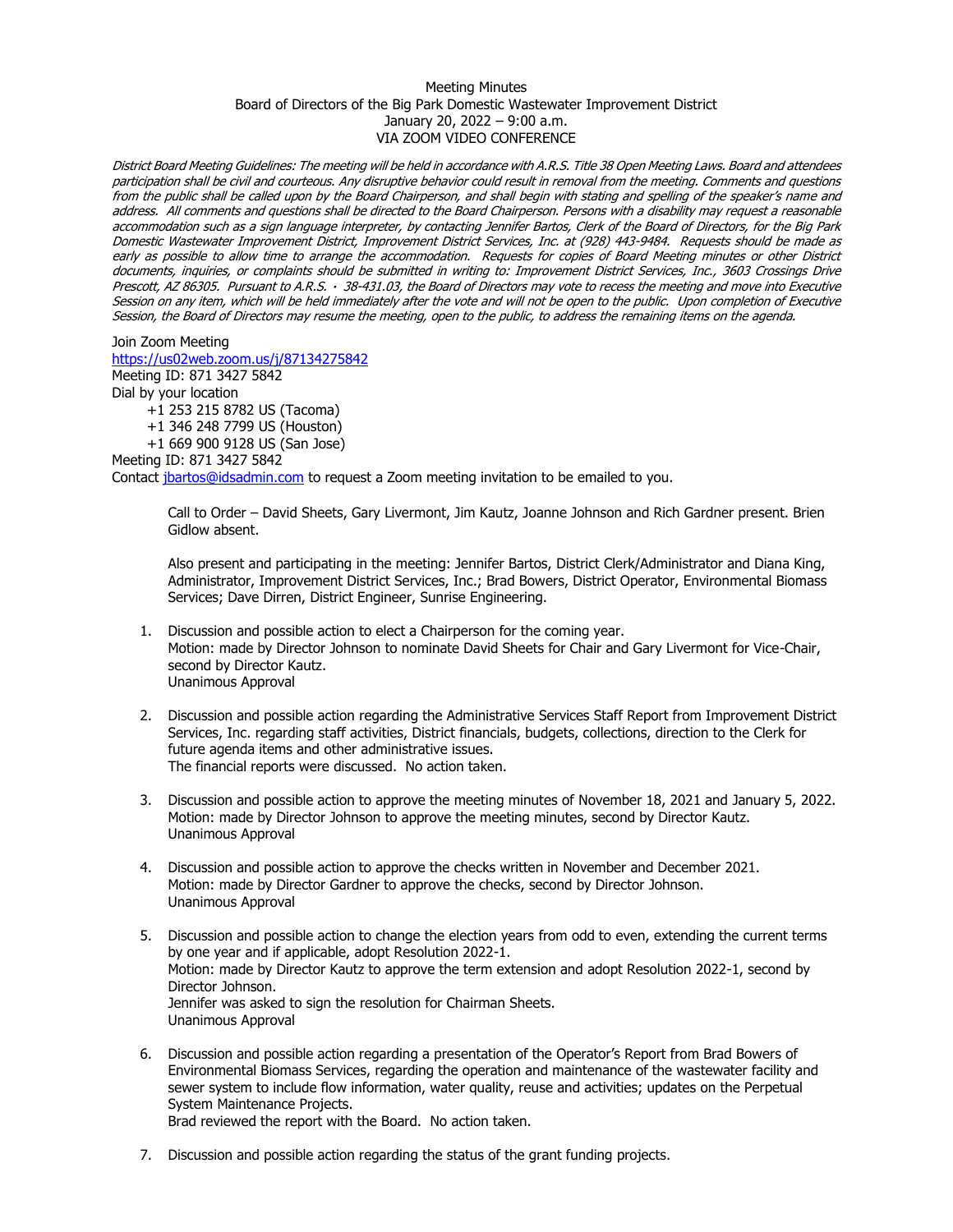## Meeting Minutes Board of Directors of the Big Park Domestic Wastewater Improvement District January 20, 2022 – 9:00 a.m. VIA ZOOM VIDEO CONFERENCE

District Board Meeting Guidelines: The meeting will be held in accordance with A.R.S. Title 38 Open Meeting Laws. Board and attendees participation shall be civil and courteous. Any disruptive behavior could result in removal from the meeting. Comments and questions from the public shall be called upon by the Board Chairperson, and shall begin with stating and spelling of the speaker's name and address. All comments and questions shall be directed to the Board Chairperson. Persons with a disability may request a reasonable accommodation such as a sign language interpreter, by contacting Jennifer Bartos, Clerk of the Board of Directors, for the Big Park Domestic Wastewater Improvement District, Improvement District Services, Inc. at (928) 443-9484. Requests should be made as early as possible to allow time to arrange the accommodation. Requests for copies of Board Meeting minutes or other District documents, inquiries, or complaints should be submitted in writing to: Improvement District Services, Inc., 3603 Crossings Drive Prescott, AZ 86305. Pursuant to A.R.S. · 38-431.03, the Board of Directors may vote to recess the meeting and move into Executive Session on any item, which will be held immediately after the vote and will not be open to the public. Upon completion of Executive Session, the Board of Directors may resume the meeting, open to the public, to address the remaining items on the agenda.

Join Zoom Meeting <https://us02web.zoom.us/j/87134275842>

Meeting ID: 871 3427 5842 Dial by your location

+1 253 215 8782 US (Tacoma) +1 346 248 7799 US (Houston) +1 669 900 9128 US (San Jose)

Meeting ID: 871 3427 5842

Contact [jbartos@idsadmin.com](mailto:jbartos@idsadmin.com) to request a Zoom meeting invitation to be emailed to you.

Call to Order – David Sheets, Gary Livermont, Jim Kautz, Joanne Johnson and Rich Gardner present. Brien Gidlow absent.

Also present and participating in the meeting: Jennifer Bartos, District Clerk/Administrator and Diana King, Administrator, Improvement District Services, Inc.; Brad Bowers, District Operator, Environmental Biomass Services; Dave Dirren, District Engineer, Sunrise Engineering.

- 1. Discussion and possible action to elect a Chairperson for the coming year. Motion: made by Director Johnson to nominate David Sheets for Chair and Gary Livermont for Vice-Chair, second by Director Kautz. Unanimous Approval
- 2. Discussion and possible action regarding the Administrative Services Staff Report from Improvement District Services, Inc. regarding staff activities, District financials, budgets, collections, direction to the Clerk for future agenda items and other administrative issues. The financial reports were discussed. No action taken.
- 3. Discussion and possible action to approve the meeting minutes of November 18, 2021 and January 5, 2022. Motion: made by Director Johnson to approve the meeting minutes, second by Director Kautz. Unanimous Approval
- 4. Discussion and possible action to approve the checks written in November and December 2021. Motion: made by Director Gardner to approve the checks, second by Director Johnson. Unanimous Approval
- 5. Discussion and possible action to change the election years from odd to even, extending the current terms by one year and if applicable, adopt Resolution 2022-1. Motion: made by Director Kautz to approve the term extension and adopt Resolution 2022-1, second by Director Johnson. Jennifer was asked to sign the resolution for Chairman Sheets. Unanimous Approval
- 6. Discussion and possible action regarding a presentation of the Operator's Report from Brad Bowers of Environmental Biomass Services, regarding the operation and maintenance of the wastewater facility and sewer system to include flow information, water quality, reuse and activities; updates on the Perpetual System Maintenance Projects.

Brad reviewed the report with the Board. No action taken.

7. Discussion and possible action regarding the status of the grant funding projects.